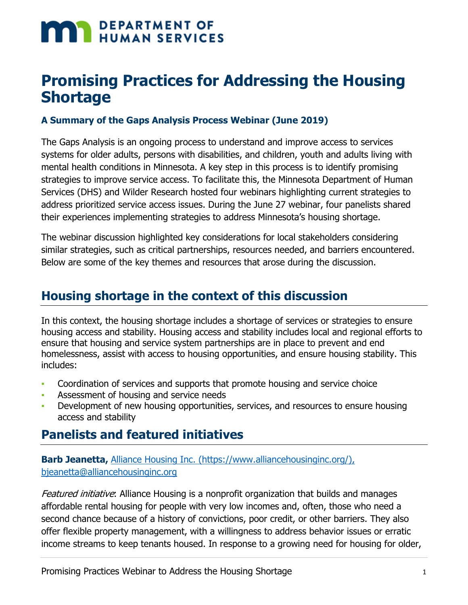# **MAN DEPARTMENT OF HUMAN SERVICES**

## **Promising Practices for Addressing the Housing Shortage**

#### **A Summary of the Gaps Analysis Process Webinar (June 2019)**

The Gaps Analysis is an ongoing process to understand and improve access to services systems for older adults, persons with disabilities, and children, youth and adults living with mental health conditions in Minnesota. A key step in this process is to identify promising strategies to improve service access. To facilitate this, the Minnesota Department of Human Services (DHS) and Wilder Research hosted four webinars highlighting current strategies to address prioritized service access issues. During the June 27 webinar, four panelists shared their experiences implementing strategies to address Minnesota's housing shortage.

The webinar discussion highlighted key considerations for local stakeholders considering similar strategies, such as critical partnerships, resources needed, and barriers encountered. Below are some of the key themes and resources that arose during the discussion.

## **Housing shortage in the context of this discussion**

In this context, the housing shortage includes a shortage of services or strategies to ensure housing access and stability. Housing access and stability includes local and regional efforts to ensure that housing and service system partnerships are in place to prevent and end homelessness, assist with access to housing opportunities, and ensure housing stability. This includes:

- Coordination of services and supports that promote housing and service choice
- Assessment of housing and service needs
- Development of new housing opportunities, services, and resources to ensure housing access and stability

## **Panelists and featured initiatives**

#### **Barb Jeanetta,** [Alliance Housing Inc. \(https://www.alliancehousinginc.org/\),](https://www.alliancehousinginc.org/) [bjeanetta@alliancehousinginc.org](mailto:bjeanetta@alliancehousinginc.org)

Featured initiative: Alliance Housing is a nonprofit organization that builds and manages affordable rental housing for people with very low incomes and, often, those who need a second chance because of a history of convictions, poor credit, or other barriers. They also offer flexible property management, with a willingness to address behavior issues or erratic income streams to keep tenants housed. In response to a growing need for housing for older,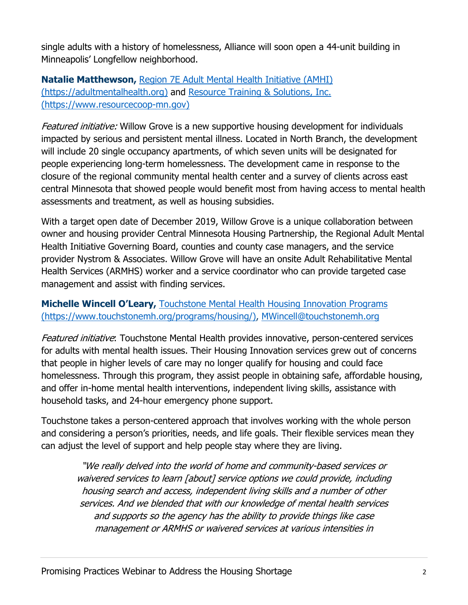single adults with a history of homelessness, Alliance will soon open a 44-unit building in Minneapolis' Longfellow neighborhood.

**Natalie Matthewson,** [Region 7E Adult Mental Health Initiative \(AMHI\)](https://adultmentalhealth.org/)  [\(https://adultmentalhealth.org\)](https://adultmentalhealth.org/) and [Resource Training & Solutions, Inc.](https://www.resourcecoop-mn.gov/)  [\(https://www.resourcecoop-mn.gov\)](https://www.resourcecoop-mn.gov/)

Featured initiative: Willow Grove is a new supportive housing development for individuals impacted by serious and persistent mental illness. Located in North Branch, the development will include 20 single occupancy apartments, of which seven units will be designated for people experiencing long-term homelessness. The development came in response to the closure of the regional community mental health center and a survey of clients across east central Minnesota that showed people would benefit most from having access to mental health assessments and treatment, as well as housing subsidies.

With a target open date of December 2019, Willow Grove is a unique collaboration between owner and housing provider Central Minnesota Housing Partnership, the Regional Adult Mental Health Initiative Governing Board, counties and county case managers, and the service provider Nystrom & Associates. Willow Grove will have an onsite Adult Rehabilitative Mental Health Services (ARMHS) worker and a service coordinator who can provide targeted case management and assist with finding services.

#### **Michelle Wincell O'Leary,** [Touchstone Mental Health Housing Innovation Programs](https://www.touchstonemh.org/programs/housing/)  [\(https://www.touchstonemh.org/programs/housing/\),](https://www.touchstonemh.org/programs/housing/) [MWincell@touchstonemh.org](mailto:MWincell@touchstonemh.org)

Featured initiative: Touchstone Mental Health provides innovative, person-centered services for adults with mental health issues. Their Housing Innovation services grew out of concerns that people in higher levels of care may no longer qualify for housing and could face homelessness. Through this program, they assist people in obtaining safe, affordable housing, and offer in-home mental health interventions, independent living skills, assistance with household tasks, and 24-hour emergency phone support.

Touchstone takes a person-centered approach that involves working with the whole person and considering a person's priorities, needs, and life goals. Their flexible services mean they can adjust the level of support and help people stay where they are living.

"We really delved into the world of home and community-based services or waivered services to learn [about] service options we could provide, including housing search and access, independent living skills and a number of other services. And we blended that with our knowledge of mental health services and supports so the agency has the ability to provide things like case management or ARMHS or waivered services at various intensities in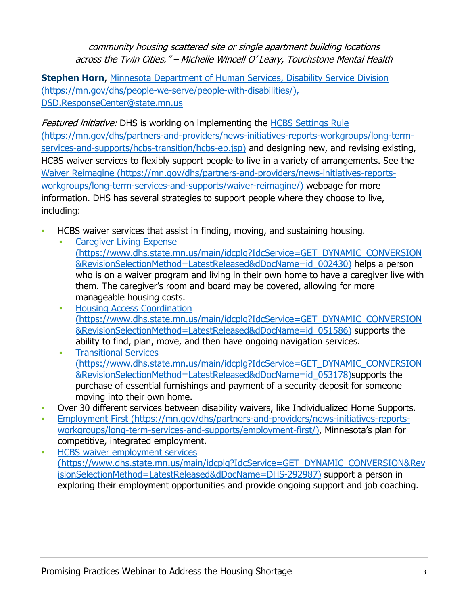community housing scattered site or single apartment building locations across the Twin Cities." – Michelle Wincell O' Leary, Touchstone Mental Health

**Stephen Horn**, Minnesota Department of Human Services, Disability Service Division [\(https://mn.gov/dhs/people-we-serve/people-with-disabilities/\),](https://mn.gov/dhs/people-we-serve/people-with-disabilities/) [DSD.ResponseCenter@state.mn.us](mailto:DSD.ResponseCenter@state.mn.us)

Featured initiative: DHS is working on implementing the HCBS Settings Rule [\(https://mn.gov/dhs/partners-and-providers/news-initiatives-reports-workgroups/long-term](https://mn.gov/dhs/partners-and-providers/news-initiatives-reports-workgroups/long-term-services-and-supports/hcbs-transition/hcbs-ep.jsp)[services-and-supports/hcbs-transition/hcbs-ep.jsp\)](https://mn.gov/dhs/partners-and-providers/news-initiatives-reports-workgroups/long-term-services-and-supports/hcbs-transition/hcbs-ep.jsp) and designing new, and revising existing, HCBS waiver services to flexibly support people to live in a variety of arrangements. See the [Waiver Reimagine \(https://mn.gov/dhs/partners-and-providers/news-initiatives-reports](https://mn.gov/dhs/partners-and-providers/news-initiatives-reports-workgroups/long-term-services-and-supports/waiver-reimagine/)[workgroups/long-term-services-and-supports/waiver-reimagine/\)](https://mn.gov/dhs/partners-and-providers/news-initiatives-reports-workgroups/long-term-services-and-supports/waiver-reimagine/) webpage for more information. DHS has several strategies to support people where they choose to live, including:

- HCBS waiver services that assist in finding, moving, and sustaining housing.
	- **Caregiver Living Expense** [\(https://www.dhs.state.mn.us/main/idcplg?IdcService=GET\\_DYNAMIC\\_CONVERSION](https://www.dhs.state.mn.us/id_002430) [&RevisionSelectionMethod=LatestReleased&dDocName=id\\_002430\)](https://www.dhs.state.mn.us/id_002430) helps a person who is on a waiver program and living in their own home to have a caregiver live with them. The caregiver's room and board may be covered, allowing for more manageable housing costs.
	- [Housing Access Coordination](https://www.dhs.state.mn.us/id_051586)  [\(https://www.dhs.state.mn.us/main/idcplg?IdcService=GET\\_DYNAMIC\\_CONVERSION](https://www.dhs.state.mn.us/id_051586) [&RevisionSelectionMethod=LatestReleased&dDocName=id\\_051586\)](https://www.dhs.state.mn.us/id_051586) supports the ability to find, plan, move, and then have ongoing navigation services.
	- [Transitional Services](https://www.dhs.state.mn.us/id_053178)  [\(https://www.dhs.state.mn.us/main/idcplg?IdcService=GET\\_DYNAMIC\\_CONVERSION](https://www.dhs.state.mn.us/id_053178) [&RevisionSelectionMethod=LatestReleased&dDocName=id\\_053178\)s](https://www.dhs.state.mn.us/id_053178)upports the purchase of essential furnishings and payment of a security deposit for someone moving into their own home.
- Over 30 different services between disability waivers, like Individualized Home Supports.
- [Employment First \(https://mn.gov/dhs/partners-and-providers/news-initiatives-reports](https://mn.gov/dhs/partners-and-providers/continuing-care/reform-initiatives/employment-first.jsp)[workgroups/long-term-services-and-supports/employment-first/\),](https://mn.gov/dhs/partners-and-providers/continuing-care/reform-initiatives/employment-first.jsp) Minnesota's plan for competitive, integrated employment.
- [HCBS waiver employment services](https://www.dhs.state.mn.us/main/idcplg?IdcService=GET_DYNAMIC_CONVERSION&RevisionSelectionMethod=LatestReleased&dDocName=DHS-292987)  [\(https://www.dhs.state.mn.us/main/idcplg?IdcService=GET\\_DYNAMIC\\_CONVERSION&Rev](https://www.dhs.state.mn.us/main/idcplg?IdcService=GET_DYNAMIC_CONVERSION&RevisionSelectionMethod=LatestReleased&dDocName=DHS-292987) [isionSelectionMethod=LatestReleased&dDocName=DHS-292987\)](https://www.dhs.state.mn.us/main/idcplg?IdcService=GET_DYNAMIC_CONVERSION&RevisionSelectionMethod=LatestReleased&dDocName=DHS-292987) support a person in exploring their employment opportunities and provide ongoing support and job coaching.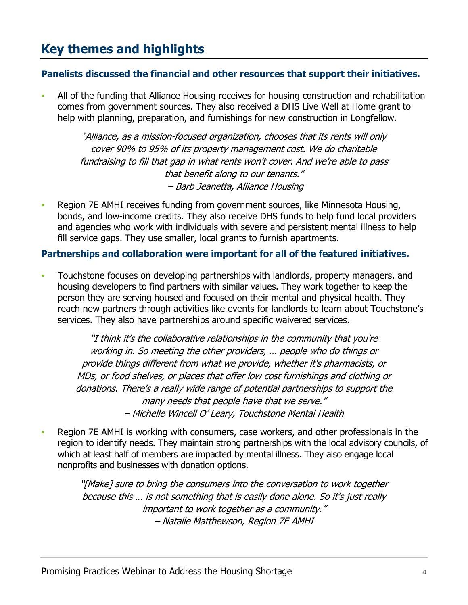## **Key themes and highlights**

#### **Panelists discussed the financial and other resources that support their initiatives.**

All of the funding that Alliance Housing receives for housing construction and rehabilitation comes from government sources. They also received a DHS Live Well at Home grant to help with planning, preparation, and furnishings for new construction in Longfellow.

"Alliance, as a mission-focused organization, chooses that its rents will only cover 90% to 95% of its property management cost. We do charitable fundraising to fill that gap in what rents won't cover. And we're able to pass that benefit along to our tenants." – Barb Jeanetta, Alliance Housing

Region 7E AMHI receives funding from government sources, like Minnesota Housing, bonds, and low-income credits. They also receive DHS funds to help fund local providers and agencies who work with individuals with severe and persistent mental illness to help fill service gaps. They use smaller, local grants to furnish apartments.

#### **Partnerships and collaboration were important for all of the featured initiatives.**

**• Touchstone focuses on developing partnerships with landlords, property managers, and** housing developers to find partners with similar values. They work together to keep the person they are serving housed and focused on their mental and physical health. They reach new partners through activities like events for landlords to learn about Touchstone's services. They also have partnerships around specific waivered services.

"I think it's the collaborative relationships in the community that you're working in. So meeting the other providers, … people who do things or provide things different from what we provide, whether it's pharmacists, or MDs, or food shelves, or places that offer low cost furnishings and clothing or donations. There's a really wide range of potential partnerships to support the many needs that people have that we serve." – Michelle Wincell O' Leary, Touchstone Mental Health

Region 7E AMHI is working with consumers, case workers, and other professionals in the region to identify needs. They maintain strong partnerships with the local advisory councils, of which at least half of members are impacted by mental illness. They also engage local nonprofits and businesses with donation options.

"[Make] sure to bring the consumers into the conversation to work together because this … is not something that is easily done alone. So it's just really important to work together as a community." – Natalie Matthewson, Region 7E AMHI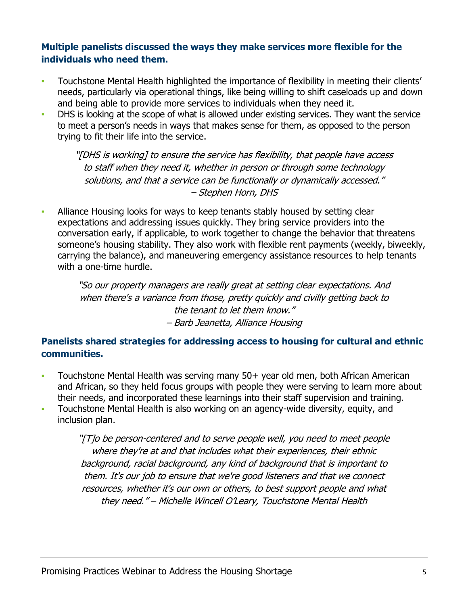#### **Multiple panelists discussed the ways they make services more flexible for the individuals who need them.**

- Touchstone Mental Health highlighted the importance of flexibility in meeting their clients' needs, particularly via operational things, like being willing to shift caseloads up and down and being able to provide more services to individuals when they need it.
- DHS is looking at the scope of what is allowed under existing services. They want the service to meet a person's needs in ways that makes sense for them, as opposed to the person trying to fit their life into the service.

"[DHS is working] to ensure the service has flexibility, that people have access to staff when they need it, whether in person or through some technology solutions, and that a service can be functionally or dynamically accessed." – Stephen Horn, DHS

Alliance Housing looks for ways to keep tenants stably housed by setting clear expectations and addressing issues quickly. They bring service providers into the conversation early, if applicable, to work together to change the behavior that threatens someone's housing stability. They also work with flexible rent payments (weekly, biweekly, carrying the balance), and maneuvering emergency assistance resources to help tenants with a one-time hurdle.

"So our property managers are really great at setting clear expectations. And when there's a variance from those, pretty quickly and civilly getting back to the tenant to let them know." – Barb Jeanetta, Alliance Housing

#### **Panelists shared strategies for addressing access to housing for cultural and ethnic communities.**

- Touchstone Mental Health was serving many 50+ year old men, both African American and African, so they held focus groups with people they were serving to learn more about their needs, and incorporated these learnings into their staff supervision and training.
- **Touchstone Mental Health is also working on an agency-wide diversity, equity, and** inclusion plan.

"[T]o be person-centered and to serve people well, you need to meet people where they're at and that includes what their experiences, their ethnic background, racial background, any kind of background that is important to them. It's our job to ensure that we're good listeners and that we connect resources, whether it's our own or others, to best support people and what they need." – Michelle Wincell O'Leary, Touchstone Mental Health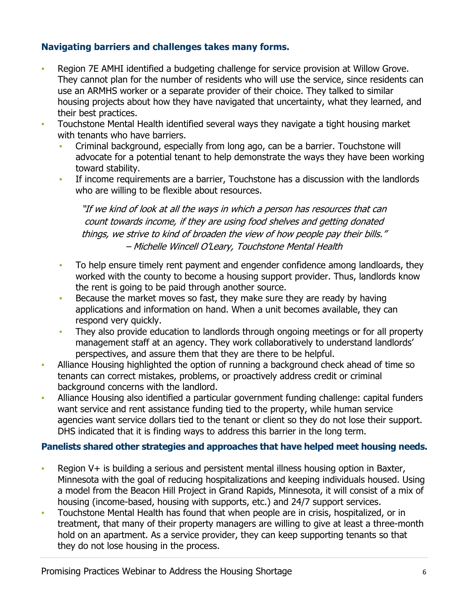#### **Navigating barriers and challenges takes many forms.**

- Region 7E AMHI identified a budgeting challenge for service provision at Willow Grove. They cannot plan for the number of residents who will use the service, since residents can use an ARMHS worker or a separate provider of their choice. They talked to similar housing projects about how they have navigated that uncertainty, what they learned, and their best practices.
- **Touchstone Mental Health identified several ways they navigate a tight housing market** with tenants who have barriers.
	- Criminal background, especially from long ago, can be a barrier. Touchstone will advocate for a potential tenant to help demonstrate the ways they have been working toward stability.
	- **•** If income requirements are a barrier, Touchstone has a discussion with the landlords who are willing to be flexible about resources.

"If we kind of look at all the ways in which a person has resources that can count towards income, if they are using food shelves and getting donated things, we strive to kind of broaden the view of how people pay their bills." – Michelle Wincell O'Leary, Touchstone Mental Health

- To help ensure timely rent payment and engender confidence among landloards, they worked with the county to become a housing support provider. Thus, landlords know the rent is going to be paid through another source.
- Because the market moves so fast, they make sure they are ready by having applications and information on hand. When a unit becomes available, they can respond very quickly.
- **They also provide education to landlords through ongoing meetings or for all property** management staff at an agency. They work collaboratively to understand landlords' perspectives, and assure them that they are there to be helpful.
- Alliance Housing highlighted the option of running a background check ahead of time so tenants can correct mistakes, problems, or proactively address credit or criminal background concerns with the landlord.
- Alliance Housing also identified a particular government funding challenge: capital funders want service and rent assistance funding tied to the property, while human service agencies want service dollars tied to the tenant or client so they do not lose their support. DHS indicated that it is finding ways to address this barrier in the long term.

#### **Panelists shared other strategies and approaches that have helped meet housing needs.**

- Region V+ is building a serious and persistent mental illness housing option in Baxter, Minnesota with the goal of reducing hospitalizations and keeping individuals housed. Using a model from the Beacon Hill Project in Grand Rapids, Minnesota, it will consist of a mix of housing (income-based, housing with supports, etc.) and 24/7 support services.
- **Touchstone Mental Health has found that when people are in crisis, hospitalized, or in** treatment, that many of their property managers are willing to give at least a three-month hold on an apartment. As a service provider, they can keep supporting tenants so that they do not lose housing in the process.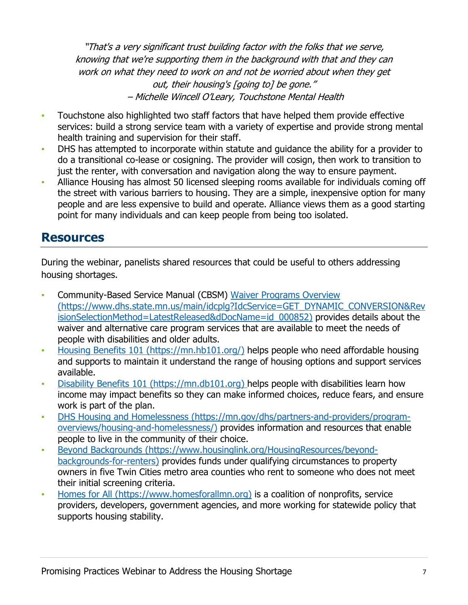"That's a very significant trust building factor with the folks that we serve, knowing that we're supporting them in the background with that and they can work on what they need to work on and not be worried about when they get out, their housing's [going to] be gone." – Michelle Wincell O'Leary, Touchstone Mental Health

- Touchstone also highlighted two staff factors that have helped them provide effective services: build a strong service team with a variety of expertise and provide strong mental health training and supervision for their staff.
- **DHS has attempted to incorporate within statute and quidance the ability for a provider to** do a transitional co-lease or cosigning. The provider will cosign, then work to transition to just the renter, with conversation and navigation along the way to ensure payment.
- **Alliance Housing has almost 50 licensed sleeping rooms available for individuals coming off** the street with various barriers to housing. They are a simple, inexpensive option for many people and are less expensive to build and operate. Alliance views them as a good starting point for many individuals and can keep people from being too isolated.

### **Resources**

During the webinar, panelists shared resources that could be useful to others addressing housing shortages.

- **Community-Based Service Manual (CBSM) Waiver Programs Overview** [\(https://www.dhs.state.mn.us/main/idcplg?IdcService=GET\\_DYNAMIC\\_CONVERSION&Rev](http://www.dhs.state.mn.us/main/idcplg?IdcService=GET_DYNAMIC_CONVERSION&RevisionSelectionMethod=LatestReleased&dDocName=id_000852) [isionSelectionMethod=LatestReleased&dDocName=id\\_000852\)](http://www.dhs.state.mn.us/main/idcplg?IdcService=GET_DYNAMIC_CONVERSION&RevisionSelectionMethod=LatestReleased&dDocName=id_000852) provides details about the waiver and alternative care program services that are available to meet the needs of people with disabilities and older adults.
- [Housing Benefits 101 \(https://mn.hb101.org/\)](http://mn.hb101.org/) helps people who need affordable housing and supports to maintain it understand the range of housing options and support services available.
- [Disability Benefits 101 \(https://mn.db101.org\)](https://mn.db101.org/) helps people with disabilities learn how income may impact benefits so they can make informed choices, reduce fears, and ensure work is part of the plan.
- [DHS Housing and Homelessness \(https://mn.gov/dhs/partners-and-providers/program](https://mn.gov/dhs/partners-and-providers/program-overviews/housing-and-homelessness/)[overviews/housing-and-homelessness/\)](https://mn.gov/dhs/partners-and-providers/program-overviews/housing-and-homelessness/) provides information and resources that enable people to live in the community of their choice.
- [Beyond Backgrounds \(https://www.housinglink.org/HousingResources/beyond](https://www.housinglink.org/HousingResources/beyond-backgrounds-for-renters)[backgrounds-for-renters\)](https://www.housinglink.org/HousingResources/beyond-backgrounds-for-renters) provides funds under qualifying circumstances to property owners in five Twin Cities metro area counties who rent to someone who does not meet their initial screening criteria.
- [Homes for All \(https://www.homesforallmn.org\)](https://www.homesforallmn.org/) is a coalition of nonprofits, service providers, developers, government agencies, and more working for statewide policy that supports housing stability.